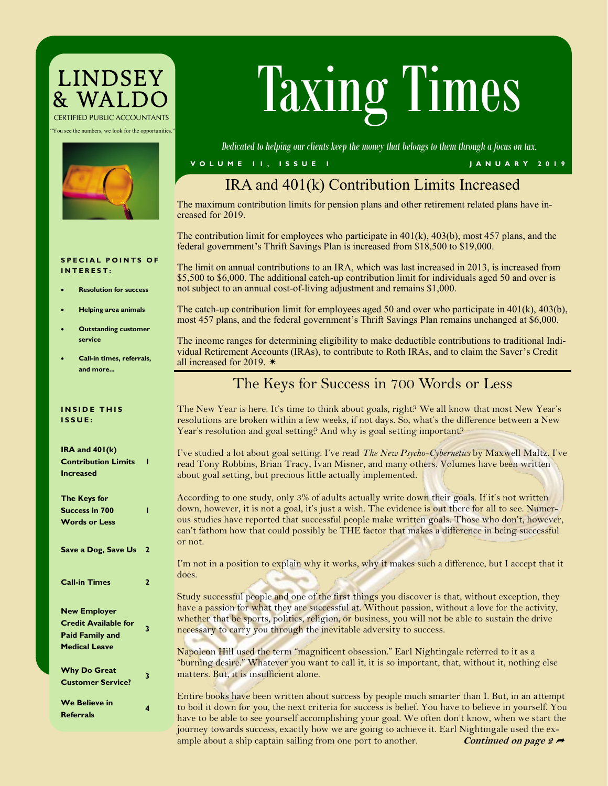## LINDSEY<br>& WALDC *CERTIFIED PUBLIC ACCOUNTANTS*

"You see the numbers, we look for the opportunities."



# Taxing Times

*Dedicated to helping our clients keep the money that belongs to them through a focus on tax.*

#### **V O L U M E 1 1 , I S S U E 1 J A N U A R Y 2 0 1 9**

### IRA and 401(k) Contribution Limits Increased

The maximum contribution limits for pension plans and other retirement related plans have increased for 2019.

The contribution limit for employees who participate in  $401(k)$ ,  $403(b)$ , most 457 plans, and the federal government's Thrift Savings Plan is increased from \$18,500 to \$19,000.

#### **SPECIAL POINTS OF I N T E R E S T :**

- **Resolution for success**
- **Helping area animals**
- **Outstanding customer service**
- **Call-in times, referrals, and more...**

**1**

**1**

**3**

**3**

**4**

**INSIDE THIS I S S U E :**

**IRA and 401(k) Contribution Limits** 

**Increased**

| The limit on annual contributions to an IRA, which was last increased in 2013, is increased from   |
|----------------------------------------------------------------------------------------------------|
| \$5,500 to \$6,000. The additional catch-up contribution limit for individuals aged 50 and over is |
| not subject to an annual cost-of-living adjustment and remains \$1,000.                            |
|                                                                                                    |

The catch-up contribution limit for employees aged 50 and over who participate in 401(k), 403(b), most 457 plans, and the federal government's Thrift Savings Plan remains unchanged at \$6,000.

The income ranges for determining eligibility to make deductible contributions to traditional Individual Retirement Accounts (IRAs), to contribute to Roth IRAs, and to claim the Saver's Credit all increased for 2019.  $*$ 

#### The Keys for Success in 700 Words or Less

The New Year is here. It's time to think about goals, right? We all know that most New Year's resolutions are broken within a few weeks, if not days. So, what's the difference between a New Year's resolution and goal setting? And why is goal setting important?

I've studied a lot about goal setting. I've read *The New Psycho-Cybernetics* by Maxwell Maltz. I've read Tony Robbins, Brian Tracy, Ivan Misner, and many others. Volumes have been written about goal setting, but precious little actually implemented.

According to one study, only 3% of adults actually write down their goals. If it's not written down, however, it is not a goal, it's just a wish. The evidence is out there for all to see. Numerous studies have reported that successful people make written goals. Those who don't, however, can't fathom how that could possibly be THE factor that makes a difference in being successful or not.

I'm not in a position to explain why it works, why it makes such a difference, but I accept that it does.

Study successful people and one of the first things you discover is that, without exception, they have a passion for what they are successful at. Without passion, without a love for the activity, whether that be sports, politics, religion, or business, you will not be able to sustain the drive necessary to carry you through the inevitable adversity to success.

Napoleon Hill used the term "magnificent obsession." Earl Nightingale referred to it as a "burning desire." Whatever you want to call it, it is so important, that, without it, nothing else matters. But, it is insufficient alone.

Entire books have been written about success by people much smarter than I. But, in an attempt to boil it down for you, the next criteria for success is belief. You have to believe in yourself. You have to be able to see yourself accomplishing your goal. We often don't know, when we start the journey towards success, exactly how we are going to achieve it. Earl Nightingale used the example about a ship captain sailing from one port to another. **Continued on page 2** 

**The Keys for Success in 700 Words or Less Save a Dog, Save Us 2 Call-in Times 2 New Employer Credit Available for Paid Family and Medical Leave**

**Why Do Great Customer Service? We Believe in Referrals**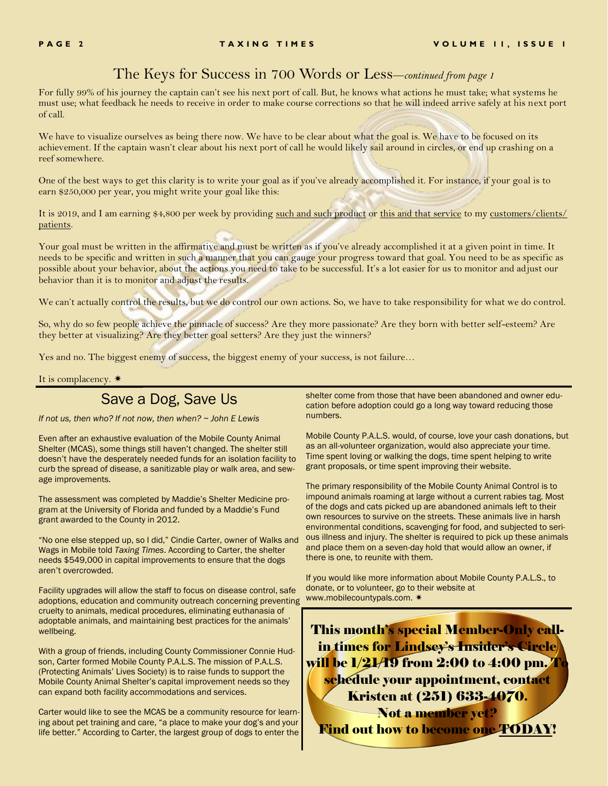#### The Keys for Success in 700 Words or Less—*continued from page 1*

For fully 99% of his journey the captain can't see his next port of call. But, he knows what actions he must take; what systems he must use; what feedback he needs to receive in order to make course corrections so that he will indeed arrive safely at his next port of call.

We have to visualize ourselves as being there now. We have to be clear about what the goal is. We have to be focused on its achievement. If the captain wasn't clear about his next port of call he would likely sail around in circles, or end up crashing on a reef somewhere.

One of the best ways to get this clarity is to write your goal as if you've already accomplished it. For instance, if your goal is to earn \$250,000 per year, you might write your goal like this:

It is 2019, and I am earning \$4,800 per week by providing such and such product or this and that service to my customers/clients/ patients.

Your goal must be written in the affirmative and must be written as if you've already accomplished it at a given point in time. It needs to be specific and written in such a manner that you can gauge your progress toward that goal. You need to be as specific as possible about your behavior, about the actions you need to take to be successful. It's a lot easier for us to monitor and adjust our behavior than it is to monitor and adjust the results.

We can't actually control the results, but we do control our own actions. So, we have to take responsibility for what we do control.

So, why do so few people achieve the pinnacle of success? Are they more passionate? Are they born with better self-esteem? Are they better at visualizing? Are they better goal setters? Are they just the winners?

Yes and no. The biggest enemy of success, the biggest enemy of your success, is not failure...

It is complacency.  $*$ 

#### Save a Dog, Save Us

*If not us, then who? If not now, then when? ~ John E Lewis*

Even after an exhaustive evaluation of the Mobile County Animal Shelter (MCAS), some things still haven't changed. The shelter still doesn't have the desperately needed funds for an isolation facility to curb the spread of disease, a sanitizable play or walk area, and sewage improvements.

The assessment was completed by Maddie's Shelter Medicine program at the University of Florida and funded by a Maddie's Fund grant awarded to the County in 2012.

"No one else stepped up, so I did," Cindie Carter, owner of [Walks and](https://walksandwags.com/)  [Wags](https://walksandwags.com/) in Mobile told *Taxing Times*. According to Carter, the shelter needs \$549,000 in capital improvements to ensure that the dogs aren't overcrowded.

Facility upgrades will allow the staff to focus on disease control, safe adoptions, education and community outreach concerning preventing cruelty to animals, medical procedures, eliminating euthanasia of adoptable animals, and maintaining best practices for the animals' wellbeing.

With a group of friends, including County Commissioner Connie Hudson, Carter formed Mobile County P.A.L.S. The mission of P.A.L.S. (Protecting Animals' Lives Society) is to raise funds to support the Mobile County Animal Shelter's capital improvement needs so they can expand both facility accommodations and services.

Carter would like to see the MCAS be a community resource for learning about pet training and care, "a place to make your dog's and your life better." According to Carter, the largest group of dogs to enter the

shelter come from those that have been abandoned and owner education before adoption could go a long way toward reducing those numbers.

Mobile County P.A.L.S. would, of course, love your cash donations, but as an all-volunteer organization, would also appreciate your time. Time spent loving or walking the dogs, time spent helping to write grant proposals, or time spent improving their website.

The primary responsibility of the Mobile County Animal Control is to impound animals roaming at large without a current rabies tag. Most of the dogs and cats picked up are abandoned animals left to their own resources to survive on the streets. These animals live in harsh environmental conditions, scavenging for food, and subjected to serious illness and injury. The shelter is required to pick up these animals and place them on a seven-day hold that would allow an owner, if there is one, to reunite with them.

If you would like more information about Mobile County P.A.L.S., to donate, or to volunteer, go to their website at [www.mobilecountypals.com.](https://mobilecountypals.com/) 

This month's special Member-Only callin times for Lindsey's Insider's Circle will be 1/21/19 from 2:00 to 4:00 pm. To schedule your appointment, contact Kristen at (251) 633-4070. Not a member yet?

Find out how to become one TODAY!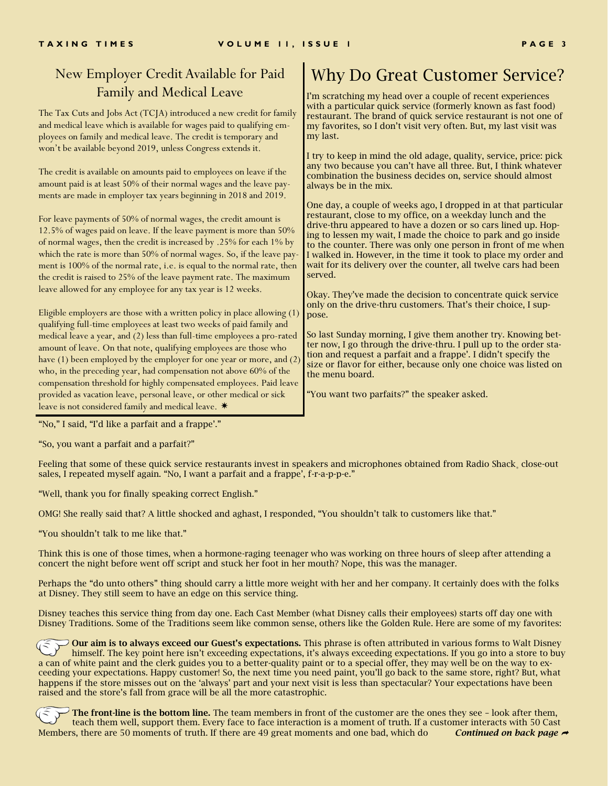#### New Employer Credit Available for Paid Family and Medical Leave

The Tax Cuts and Jobs Act (TCJA) introduced a new credit for family and medical leave which is available for wages paid to qualifying employees on family and medical leave. The credit is temporary and won't be available beyond 2019, unless Congress extends it.

The credit is available on amounts paid to employees on leave if the amount paid is at least 50% of their normal wages and the leave payments are made in employer tax years beginning in 2018 and 2019.

For leave payments of 50% of normal wages, the credit amount is 12.5% of wages paid on leave. If the leave payment is more than 50% of normal wages, then the credit is increased by .25% for each 1% by which the rate is more than 50% of normal wages. So, if the leave payment is 100% of the normal rate, i.e. is equal to the normal rate, then the credit is raised to 25% of the leave payment rate. The maximum leave allowed for any employee for any tax year is 12 weeks.

Eligible employers are those with a written policy in place allowing (1) qualifying full-time employees at least two weeks of paid family and medical leave a year, and (2) less than full-time employees a pro-rated amount of leave. On that note, qualifying employees are those who have (1) been employed by the employer for one year or more, and (2) who, in the preceding year, had compensation not above 60% of the compensation threshold for highly compensated employees. Paid leave provided as vacation leave, personal leave, or other medical or sick leave is not considered family and medical leave. \*

### Why Do Great Customer Service?

I'm scratching my head over a couple of recent experiences with a particular quick service (formerly known as fast food) restaurant. The brand of quick service restaurant is not one of my favorites, so I don't visit very often. But, my last visit was my last.

I try to keep in mind the old adage, quality, service, price: pick any two because you can't have all three. But, I think whatever combination the business decides on, service should almost always be in the mix.

One day, a couple of weeks ago, I dropped in at that particular restaurant, close to my office, on a weekday lunch and the drive-thru appeared to have a dozen or so cars lined up. Hoping to lessen my wait, I made the choice to park and go inside to the counter. There was only one person in front of me when I walked in. However, in the time it took to place my order and wait for its delivery over the counter, all twelve cars had been served.

Okay. They've made the decision to concentrate quick service only on the drive-thru customers. That's their choice, I suppose.

So last Sunday morning, I give them another try. Knowing better now, I go through the drive-thru. I pull up to the order station and request a parfait and a frappe'. I didn't specify the size or flavor for either, because only one choice was listed on the menu board.

"You want two parfaits?" the speaker asked.

"No," I said, "I'd like a parfait and a frappe'."

"So, you want a parfait and a parfait?"

Feeling that some of these quick service restaurants invest in speakers and microphones obtained from Radio Shack, close-out sales, I repeated myself again. "No, I want a parfait and a frappe', f-r-a-p-p-e."

"Well, thank you for finally speaking correct English."

OMG! She really said that? A little shocked and aghast, I responded, "You shouldn't talk to customers like that."

"You shouldn't talk to me like that."

Think this is one of those times, when a hormone-raging teenager who was working on three hours of sleep after attending a concert the night before went off script and stuck her foot in her mouth? Nope, this was the manager.

Perhaps the "do unto others" thing should carry a little more weight with her and her company. It certainly does with the folks at Disney. They still seem to have an edge on this service thing.

Disney teaches this service thing from day one. Each Cast Member (what Disney calls their employees) starts off day one with Disney Traditions. Some of the Traditions seem like common sense, others like the Golden Rule. Here are some of my favorites:

Our aim is to always exceed our Guest's expectations. This phrase is often attributed in various forms to Walt Disney himself. The key point here isn't exceeding expectations, it's always exceeding expectations. If you go into a store to buy a can of white paint and the clerk guides you to a better-quality paint or to a special offer, they may well be on the way to exceeding your expectations. Happy customer! So, the next time you need paint, you'll go back to the same store, right? But, what happens if the store misses out on the 'always' part and your next visit is less than spectacular? Your expectations have been raised and the store's fall from grace will be all the more catastrophic.

The front-line is the bottom line. The team members in front of the customer are the ones they see – look after them, teach them well, support them. Every face to face interaction is a moment of truth. If a customer interacts with 50 Cast Members, there are 50 moments of truth. If there are 49 great moments and one bad, which do *Continued on back page*